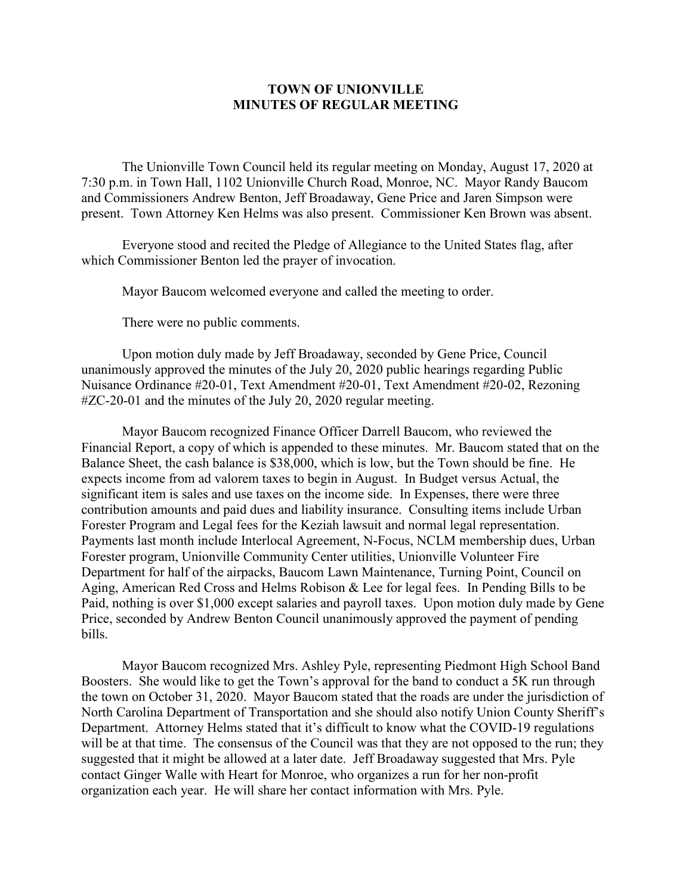## **TOWN OF UNIONVILLE MINUTES OF REGULAR MEETING**

The Unionville Town Council held its regular meeting on Monday, August 17, 2020 at 7:30 p.m. in Town Hall, 1102 Unionville Church Road, Monroe, NC. Mayor Randy Baucom and Commissioners Andrew Benton, Jeff Broadaway, Gene Price and Jaren Simpson were present. Town Attorney Ken Helms was also present. Commissioner Ken Brown was absent.

Everyone stood and recited the Pledge of Allegiance to the United States flag, after which Commissioner Benton led the prayer of invocation.

Mayor Baucom welcomed everyone and called the meeting to order.

There were no public comments.

Upon motion duly made by Jeff Broadaway, seconded by Gene Price, Council unanimously approved the minutes of the July 20, 2020 public hearings regarding Public Nuisance Ordinance #20-01, Text Amendment #20-01, Text Amendment #20-02, Rezoning #ZC-20-01 and the minutes of the July 20, 2020 regular meeting.

Mayor Baucom recognized Finance Officer Darrell Baucom, who reviewed the Financial Report, a copy of which is appended to these minutes. Mr. Baucom stated that on the Balance Sheet, the cash balance is \$38,000, which is low, but the Town should be fine. He expects income from ad valorem taxes to begin in August. In Budget versus Actual, the significant item is sales and use taxes on the income side. In Expenses, there were three contribution amounts and paid dues and liability insurance. Consulting items include Urban Forester Program and Legal fees for the Keziah lawsuit and normal legal representation. Payments last month include Interlocal Agreement, N-Focus, NCLM membership dues, Urban Forester program, Unionville Community Center utilities, Unionville Volunteer Fire Department for half of the airpacks, Baucom Lawn Maintenance, Turning Point, Council on Aging, American Red Cross and Helms Robison & Lee for legal fees. In Pending Bills to be Paid, nothing is over \$1,000 except salaries and payroll taxes. Upon motion duly made by Gene Price, seconded by Andrew Benton Council unanimously approved the payment of pending bills.

Mayor Baucom recognized Mrs. Ashley Pyle, representing Piedmont High School Band Boosters. She would like to get the Town's approval for the band to conduct a 5K run through the town on October 31, 2020. Mayor Baucom stated that the roads are under the jurisdiction of North Carolina Department of Transportation and she should also notify Union County Sheriff's Department. Attorney Helms stated that it's difficult to know what the COVID-19 regulations will be at that time. The consensus of the Council was that they are not opposed to the run; they suggested that it might be allowed at a later date. Jeff Broadaway suggested that Mrs. Pyle contact Ginger Walle with Heart for Monroe, who organizes a run for her non-profit organization each year. He will share her contact information with Mrs. Pyle.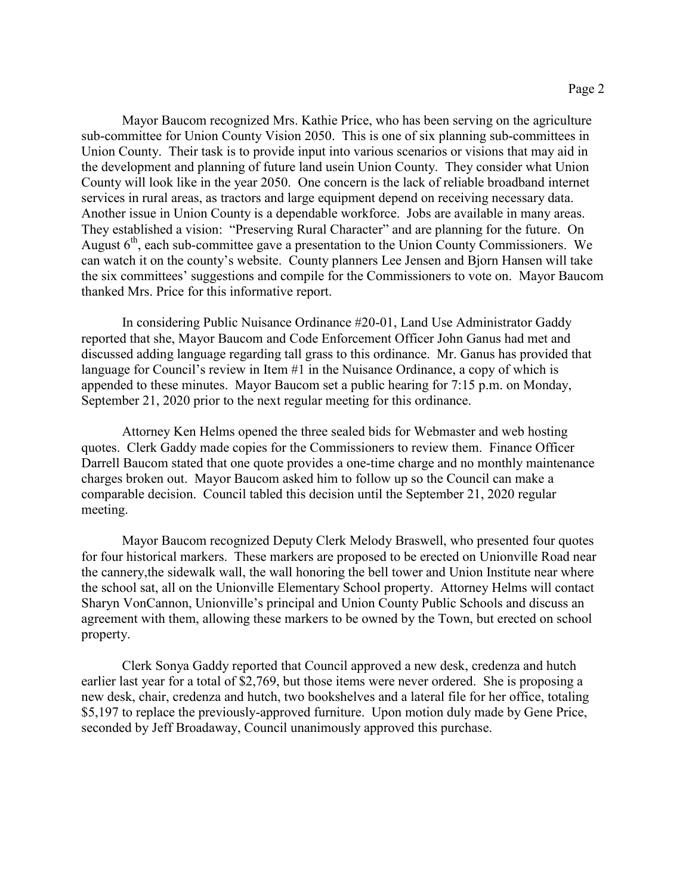Mayor Baucom recognized Mrs. Kathie Price, who has been serving on the agriculture sub-committee for Union County Vision 2050. This is one of six planning sub-committees in Union County. Their task is to provide input into various scenarios or visions that may aid in the development and planning of future land usein Union County. They consider what Union County will look like in the year 2050. One concern is the lack of reliable broadband internet services in rural areas, as tractors and large equipment depend on receiving necessary data. Another issue in Union County is a dependable workforce. Jobs are available in many areas. They established a vision: "Preserving Rural Character" and are planning for the future. On August  $6<sup>th</sup>$ , each sub-committee gave a presentation to the Union County Commissioners. We can watch it on the county's website. County planners Lee Jensen and Bjorn Hansen will take the six committees' suggestions and compile for the Commissioners to vote on. Mayor Baucom thanked Mrs. Price for this informative report.

In considering Public Nuisance Ordinance #20-01, Land Use Administrator Gaddy reported that she, Mayor Baucom and Code Enforcement Officer John Ganus had met and discussed adding language regarding tall grass to this ordinance. Mr. Ganus has provided that language for Council's review in Item #1 in the Nuisance Ordinance, a copy of which is appended to these minutes. Mayor Baucom set a public hearing for 7:15 p.m. on Monday, September 21, 2020 prior to the next regular meeting for this ordinance.

Attorney Ken Helms opened the three sealed bids for Webmaster and web hosting quotes. Clerk Gaddy made copies for the Commissioners to review them. Finance Officer Darrell Baucom stated that one quote provides a one-time charge and no monthly maintenance charges broken out. Mayor Baucom asked him to follow up so the Council can make a comparable decision. Council tabled this decision until the September 21, 2020 regular meeting.

Mayor Baucom recognized Deputy Clerk Melody Braswell, who presented four quotes for four historical markers. These markers are proposed to be erected on Unionville Road near the cannery,the sidewalk wall, the wall honoring the bell tower and Union Institute near where the school sat, all on the Unionville Elementary School property. Attorney Helms will contact Sharyn VonCannon, Unionville's principal and Union County Public Schools and discuss an agreement with them, allowing these markers to be owned by the Town, but erected on school property.

Clerk Sonya Gaddy reported that Council approved a new desk, credenza and hutch earlier last year for a total of \$2,769, but those items were never ordered. She is proposing a new desk, chair, credenza and hutch, two bookshelves and a lateral file for her office, totaling \$5,197 to replace the previously-approved furniture. Upon motion duly made by Gene Price, seconded by Jeff Broadaway, Council unanimously approved this purchase.